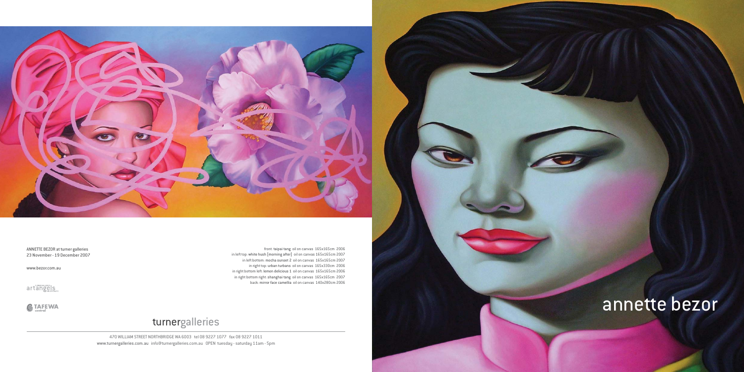

ANNETTE BEZOR at turner galleries 23 November - 19 December 2007

www.bezor.com.au

artangels

 $\bigotimes$  TAFEWA

470 WILLIAM STREET NORTHBRIDGE WA 6003 tel 08 9227 1077 fax 08 9227 1011 www.turnergalleries.com.au info@turnergalleries.com.au OPEN tuesday - saturday 11am - 5pm

# turnergalleries

front: taipai tang oil on canvas 165x165cm 2006 in left top: white hush [morning after] oil on canvas 165x165cm 2007 in left bottom: mocha sunset 2 oil on canvas 165x165cm 2007 in right top: urban turbans oil on canvas 165x330cm 2006 in right bottom left: lemon delicious 1 oil on canvas 165x165cm 2006 in right bottom right: shanghai tang oil on canvas 165x165cm 2007 back: mirror face camellia oil on canvas 140x280cm 2006

# annette bezor